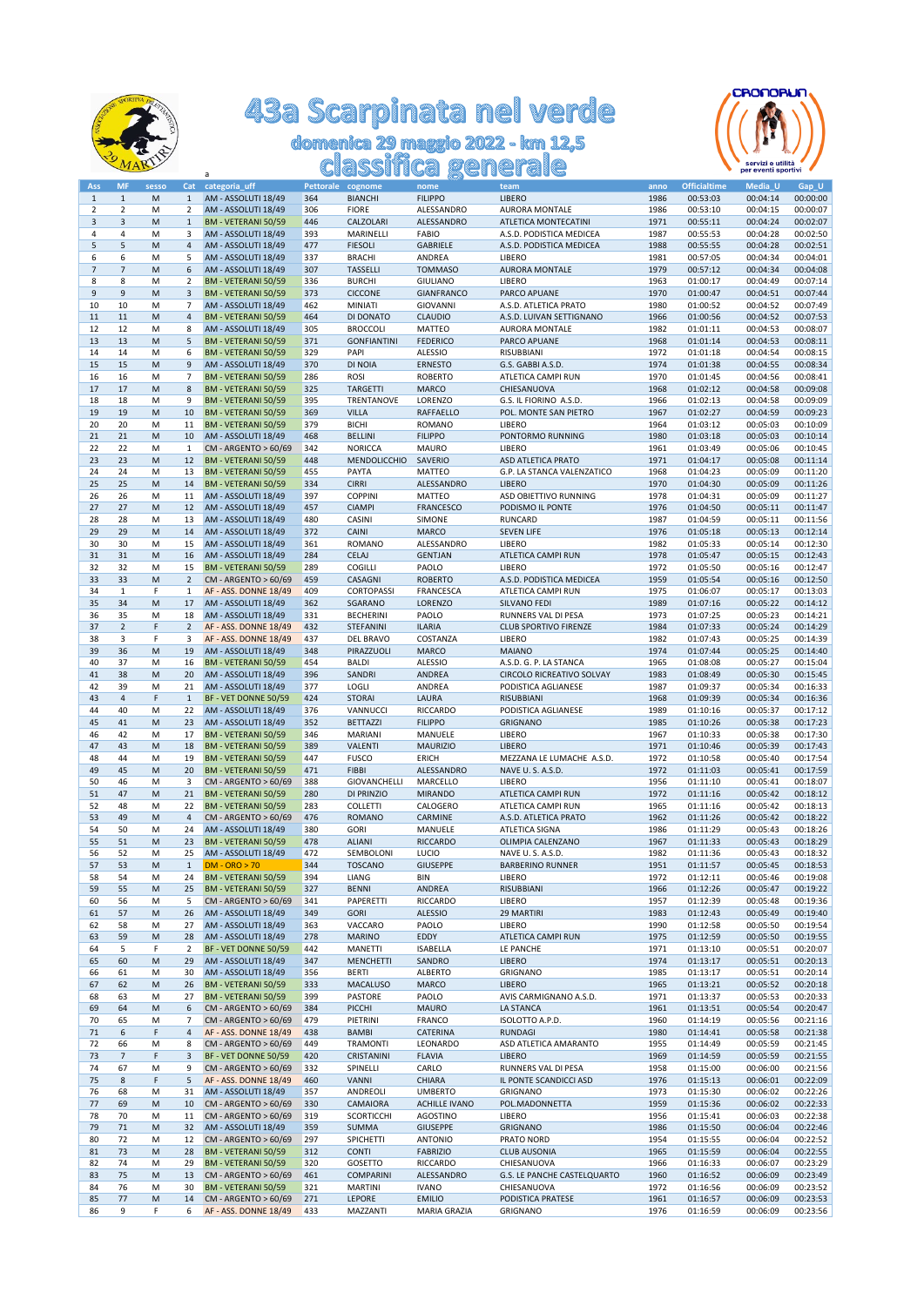

## 43a Scarpinata nel verde<br>domenica 29 maggio 2022 - km 12,5<br>classifica generale



| Ass            | <b>MF</b>                | sesso | Cat            | categoria_uff              | Pettorale cognome |                    | nome                 | team                         | anno | <b>Officialtime</b> | Media_U  | Gap_U    |
|----------------|--------------------------|-------|----------------|----------------------------|-------------------|--------------------|----------------------|------------------------------|------|---------------------|----------|----------|
| $1\,$          | $\mathbf{1}$             | M     | $\mathbf{1}$   | AM - ASSOLUTI 18/49        | 364               | <b>BIANCHI</b>     | <b>FILIPPO</b>       | <b>LIBERO</b>                | 1986 | 00:53:03            | 00:04:14 | 00:00:00 |
| 2              | $\mathbf 2$              | M     | 2              | AM - ASSOLUTI 18/49        | 306               | <b>FIORE</b>       | ALESSANDRO           | <b>AURORA MONTALE</b>        | 1986 | 00:53:10            | 00:04:15 | 00:00:07 |
| 3              | 3                        | M     | $\mathbf{1}$   | BM - VETERANI 50/59        | 446               | CALZOLARI          | ALESSANDRO           | ATLETICA MONTECATINI         | 1971 | 00:55:11            | 00:04:24 | 00:02:07 |
| 4              | $\overline{4}$           |       | 3              | AM - ASSOLUTI 18/49        | 393               |                    |                      |                              | 1987 |                     | 00:04:28 | 00:02:50 |
|                |                          | M     |                |                            |                   | MARINELLI          | FABIO                | A.S.D. PODISTICA MEDICEA     |      | 00:55:53            |          |          |
| 5              | 5                        | M     | 4              | AM - ASSOLUTI 18/49        | 477               | <b>FIESOLI</b>     | GABRIELE             | A.S.D. PODISTICA MEDICEA     | 1988 | 00:55:55            | 00:04:28 | 00:02:51 |
| 6              | 6                        | M     | 5              | AM - ASSOLUTI 18/49        | 337               | <b>BRACHI</b>      | ANDREA               | LIBERO                       | 1981 | 00:57:05            | 00:04:34 | 00:04:01 |
| $\overline{7}$ | $\overline{\phantom{a}}$ | M     | 6              | AM - ASSOLUTI 18/49        | 307               | <b>TASSELLI</b>    | <b>TOMMASO</b>       | AURORA MONTALE               | 1979 | 00:57:12            | 00:04:34 | 00:04:08 |
| 8              | 8                        | M     | 2              | BM - VETERANI 50/59        | 336               | <b>BURCHI</b>      | <b>GIULIANO</b>      | LIBERO                       | 1963 | 01:00:17            | 00:04:49 | 00:07:14 |
| 9              | $\boldsymbol{9}$         | M     | 3              | BM - VETERANI 50/59        | 373               | <b>CICCONE</b>     | GIANFRANCO           | PARCO APUANE                 | 1970 | 01:00:47            | 00:04:51 | 00:07:44 |
|                |                          |       |                |                            |                   |                    |                      |                              |      |                     |          |          |
| 10             | 10                       | M     | 7              | AM - ASSOLUTI 18/49        | 462               | MINIATI            | GIOVANNI             | A.S.D. ATLETICA PRATO        | 1980 | 01:00:52            | 00:04:52 | 00:07:49 |
| 11             | 11                       | M     | $\overline{4}$ | BM - VETERANI 50/59        | 464               | DI DONATO          | <b>CLAUDIO</b>       | A.S.D. LUIVAN SETTIGNANO     | 1966 | 01:00:56            | 00:04:52 | 00:07:53 |
| 12             | 12                       | M     | 8              | AM - ASSOLUTI 18/49        | 305               | <b>BROCCOLI</b>    | MATTEO               | AURORA MONTALE               | 1982 | 01:01:11            | 00:04:53 | 00:08:07 |
| 13             | 13                       | M     | 5              | BM - VETERANI 50/59        | 371               | <b>GONFIANTINI</b> | <b>FEDERICO</b>      | PARCO APUANE                 | 1968 | 01:01:14            | 00:04:53 | 00:08:11 |
| 14             | 14                       | M     | 6              | BM - VETERANI 50/59        | 329               | PAPI               | <b>ALESSIO</b>       | RISUBBIANI                   | 1972 | 01:01:18            | 00:04:54 | 00:08:15 |
| 15             | 15                       |       | 9              |                            | 370               |                    |                      | G.S. GABBI A.S.D.            | 1974 | 01:01:38            | 00:04:55 | 00:08:34 |
|                |                          | M     |                | AM - ASSOLUTI 18/49        |                   | DI NOIA            | <b>ERNESTO</b>       |                              |      |                     |          |          |
| 16             | 16                       | M     | 7              | BM - VETERANI 50/59        | 286               | ROSI               | <b>ROBERTO</b>       | ATLETICA CAMPI RUN           | 1970 | 01:01:45            | 00:04:56 | 00:08:41 |
| 17             | 17                       | M     | $\bf8$         | BM - VETERANI 50/59        | 325               | <b>TARGETTI</b>    | <b>MARCO</b>         | CHIESANUOVA                  | 1968 | 01:02:12            | 00:04:58 | 00:09:08 |
| 18             | 18                       | M     | 9              | BM - VETERANI 50/59        | 395               | TRENTANOVE         | LORENZO              | G.S. IL FIORINO A.S.D.       | 1966 | 01:02:13            | 00:04:58 | 00:09:09 |
| 19             | 19                       | M     | 10             | <b>BM - VETERANI 50/59</b> | 369               | <b>VILLA</b>       | RAFFAELLO            | POL. MONTE SAN PIETRO        | 1967 | 01:02:27            | 00:04:59 | 00:09:23 |
| 20             | 20                       | M     | 11             | BM - VETERANI 50/59        | 379               | <b>BICHI</b>       | ROMANO               | LIBERO                       | 1964 | 01:03:12            | 00:05:03 | 00:10:09 |
|                |                          |       |                |                            |                   |                    |                      |                              |      |                     |          |          |
| 21             | 21                       | M     | 10             | AM - ASSOLUTI 18/49        | 468               | <b>BELLINI</b>     | <b>FILIPPO</b>       | PONTORMO RUNNING             | 1980 | 01:03:18            | 00:05:03 | 00:10:14 |
| 22             | 22                       | M     | $\mathbf{1}$   | CM - ARGENTO > 60/69       | 342               | <b>NORICCA</b>     | <b>MAURO</b>         | LIBERO                       | 1961 | 01:03:49            | 00:05:06 | 00:10:45 |
| 23             | 23                       | M     | 12             | BM - VETERANI 50/59        | 448               | MENDOLICCHIO       | SAVERIO              | ASD ATLETICA PRATO           | 1971 | 01:04:17            | 00:05:08 | 00:11:14 |
| 24             | 24                       | M     | 13             | <b>BM - VETERANI 50/59</b> | 455               | PAYTA              | MATTEO               | G.P. LA STANCA VALENZATICO   | 1968 | 01:04:23            | 00:05:09 | 00:11:20 |
| 25             | 25                       | M     | 14             | BM - VETERANI 50/59        | 334               | <b>CIRRI</b>       | ALESSANDRO           | <b>LIBERO</b>                | 1970 | 01:04:30            | 00:05:09 | 00:11:26 |
| 26             | 26                       | M     | 11             | AM - ASSOLUTI 18/49        | 397               | <b>COPPINI</b>     | <b>MATTEO</b>        | ASD OBIETTIVO RUNNING        | 1978 | 01:04:31            | 00:05:09 | 00:11:27 |
|                |                          |       |                |                            |                   |                    |                      |                              |      |                     |          |          |
| 27             | 27                       | M     | 12             | AM - ASSOLUTI 18/49        | 457               | <b>CIAMPI</b>      | <b>FRANCESCO</b>     | PODISMO IL PONTE             | 1976 | 01:04:50            | 00:05:11 | 00:11:47 |
| 28             | 28                       | M     | 13             | AM - ASSOLUTI 18/49        | 480               | CASINI             | SIMONE               | RUNCARD                      | 1987 | 01:04:59            | 00:05:11 | 00:11:56 |
| 29             | 29                       | M     | 14             | AM - ASSOLUTI 18/49        | 372               | CAINI              | MARCO                | <b>SEVEN LIFE</b>            | 1976 | 01:05:18            | 00:05:13 | 00:12:14 |
| 30             | 30                       | M     | 15             | AM - ASSOLUTI 18/49        | 361               | ROMANO             | ALESSANDRO           | LIBERO                       | 1982 | 01:05:33            | 00:05:14 | 00:12:30 |
| 31             | 31                       | M     | 16             | AM - ASSOLUTI 18/49        | 284               | <b>CELAJ</b>       | <b>GENTJAN</b>       | ATLETICA CAMPI RUN           | 1978 | 01:05:47            | 00:05:15 | 00:12:43 |
|                |                          |       |                |                            |                   |                    |                      |                              |      | 01:05:50            |          |          |
| 32             | 32                       | M     | 15             | BM - VETERANI 50/59        | 289               | <b>COGILLI</b>     | PAOLO                | LIBERO                       | 1972 |                     | 00:05:16 | 00:12:47 |
| 33             | 33                       | M     | $\overline{2}$ | CM - ARGENTO > 60/69       | 459               | CASAGNI            | <b>ROBERTO</b>       | A.S.D. PODISTICA MEDICEA     | 1959 | 01:05:54            | 00:05:16 | 00:12:50 |
| 34             | $\mathbf{1}$             | F     | $\mathbf{1}$   | AF - ASS. DONNE 18/49      | 409               | CORTOPASSI         | FRANCESCA            | ATLETICA CAMPI RUN           | 1975 | 01:06:07            | 00:05:17 | 00:13:03 |
| 35             | 34                       | M     | 17             | AM - ASSOLUTI 18/49        | 362               | SGARANO            | LORENZO              | SILVANO FEDI                 | 1989 | 01:07:16            | 00:05:22 | 00:14:12 |
| 36             | 35                       | M     | 18             | AM - ASSOLUTI 18/49        | 331               | <b>BECHERINI</b>   | PAOLO                | RUNNERS VAL DI PESA          | 1973 | 01:07:25            | 00:05:23 | 00:14:21 |
| 37             | $\sqrt{2}$               | F     | $\overline{2}$ | AF - ASS. DONNE 18/49      | 432               | STEFANINI          | <b>ILARIA</b>        | <b>CLUB SPORTIVO FIRENZE</b> | 1984 | 01:07:33            | 00:05:24 | 00:14:29 |
|                |                          |       |                |                            |                   |                    |                      |                              |      |                     |          |          |
| 38             | 3                        | F     | 3              | AF - ASS. DONNE 18/49      | 437               | DEL BRAVO          | COSTANZA             | LIBERO                       | 1982 | 01:07:43            | 00:05:25 | 00:14:39 |
| 39             | 36                       | M     | 19             | AM - ASSOLUTI 18/49        | 348               | PIRAZZUOLI         | <b>MARCO</b>         | <b>MAIANO</b>                | 1974 | 01:07:44            | 00:05:25 | 00:14:40 |
| 40             | 37                       | M     | 16             | <b>BM - VETERANI 50/59</b> | 454               | <b>BALDI</b>       | <b>ALESSIO</b>       | A.S.D. G. P. LA STANCA       | 1965 | 01:08:08            | 00:05:27 | 00:15:04 |
| 41             | 38                       | M     | 20             | AM - ASSOLUTI 18/49        | 396               | SANDRI             | ANDREA               | CIRCOLO RICREATIVO SOLVAY    | 1983 | 01:08:49            | 00:05:30 | 00:15:45 |
| 42             | 39                       | M     | 21             | AM - ASSOLUTI 18/49        | 377               | LOGLI              | ANDREA               | PODISTICA AGLIANESE          | 1987 | 01:09:37            | 00:05:34 | 00:16:33 |
| 43             | $\sqrt{4}$               | F     | $\mathbf{1}$   | BF - VET DONNE 50/59       | 424               | <b>STORAI</b>      | LAURA                | RISUBBIANI                   | 1968 | 01:09:39            | 00:05:34 | 00:16:36 |
|                |                          |       |                |                            |                   |                    |                      |                              |      |                     |          |          |
| 44             | 40                       | M     | 22             | AM - ASSOLUTI 18/49        | 376               | VANNUCCI           | RICCARDO             | PODISTICA AGLIANESE          | 1989 | 01:10:16            | 00:05:37 | 00:17:12 |
| 45             | 41                       | M     | 23             | AM - ASSOLUTI 18/49        | 352               | <b>BETTAZZI</b>    | <b>FILIPPO</b>       | <b>GRIGNANO</b>              | 1985 | 01:10:26            | 00:05:38 | 00:17:23 |
| 46             | 42                       | M     | 17             | BM - VETERANI 50/59        | 346               | <b>MARIANI</b>     | MANUELE              | LIBERO                       | 1967 | 01:10:33            | 00:05:38 | 00:17:30 |
| 47             | 43                       | M     | 18             | BM - VETERANI 50/59        | 389               | <b>VALENTI</b>     | <b>MAURIZIO</b>      | <b>LIBERO</b>                | 1971 | 01:10:46            | 00:05:39 | 00:17:43 |
| 48             | 44                       | M     | 19             | BM - VETERANI 50/59        | 447               | <b>FUSCO</b>       | ERICH                | MEZZANA LE LUMACHE A.S.D.    | 1972 | 01:10:58            | 00:05:40 | 00:17:54 |
| 49             | 45                       | M     | 20             | <b>BM - VETERANI 50/59</b> | 471               | <b>FIBBI</b>       | ALESSANDRO           | NAVE U.S.A.S.D.              | 1972 | 01:11:03            | 00:05:41 | 00:17:59 |
|                |                          |       |                |                            |                   |                    |                      |                              |      |                     |          |          |
| 50             | 46                       | M     | 3              | CM - ARGENTO > 60/69       | 388               | GIOVANCHELLI       | MARCELLO             | LIBERO                       | 1956 | 01:11:10            | 00:05:41 | 00:18:07 |
| 51             | 47                       | M     | 21             | BM - VETERANI 50/59        | 280               | DI PRINZIO         | <b>MIRANDO</b>       | ATLETICA CAMPI RUN           | 1972 | 01:11:16            | 00:05:42 | 00:18:12 |
| 52             | 48                       | M     | 22             | BM - VETERANI 50/59        | 283               | <b>COLLETTI</b>    | CALOGERO             | ATLETICA CAMPI RUN           | 1965 | 01:11:16            | 00:05:42 | 00:18:13 |
| 53             | 49                       | M     | $\overline{4}$ | CM - ARGENTO > 60/69       | 476               | <b>ROMANO</b>      | CARMINE              | A.S.D. ATLETICA PRATO        | 1962 | 01:11:26            | 00:05:42 | 00:18:22 |
| 54             | 50                       | M     | 24             | AM - ASSOLUTI 18/49        | 380               | <b>GORI</b>        | MANUELE              | ATLETICA SIGNA               | 1986 | 01:11:29            | 00:05:43 | 00:18:26 |
| 55             | 51                       | M     | 23             | BM - VETERANI 50/59        | 478               | <b>ALIANI</b>      | <b>RICCARDO</b>      | OLIMPIA CALENZANO            | 1967 | 01:11:33            | 00:05:43 | 00:18:29 |
|                |                          |       |                |                            |                   |                    |                      |                              |      |                     |          |          |
| 56             | 52                       | M     | 25             | AM - ASSOLUTI 18/49        | 472               | SEMBOLONI          | <b>LUCIO</b>         | NAVE U.S.A.S.D.              | 1982 | 01:11:36            | 00:05:43 | 00:18:32 |
| 57             | 53                       | M     | $\mathbf{1}$   | $DM - ORO > 70$            | 344               | <b>TOSCANO</b>     | <b>GIUSEPPE</b>      | <b>BARBERINO RUNNER</b>      | 1951 | 01:11:57            | 00:05:45 | 00:18:53 |
| 58             | 54                       | M     | 24             | BM - VETERANI 50/59        | 394               | LIANG              | BIN                  | LIBERO                       | 1972 | 01:12:11            | 00:05:46 | 00:19:08 |
| 59             | 55                       | M     | 25             | BM - VETERANI 50/59        | 327               | <b>BENNI</b>       | ANDREA               | RISUBBIANI                   | 1966 | 01:12:26            | 00:05:47 | 00:19:22 |
| 60             | 56                       | M     | 5              | CM - ARGENTO > 60/69       | 341               | PAPERETTI          | RICCARDO             | LIBERO                       | 1957 | 01:12:39            | 00:05:48 | 00:19:36 |
|                |                          |       |                | AM - ASSOLUTI 18/49        |                   |                    | <b>ALESSIO</b>       | 29 MARTIRI                   | 1983 |                     |          | 00:19:40 |
| 61             | 57                       | M     | 26             |                            | 349               | <b>GORI</b>        |                      |                              |      | 01:12:43            | 00:05:49 |          |
| 62             | 58                       | M     | 27             | AM - ASSOLUTI 18/49        | 363               | VACCARO            | PAOLO                | LIBERO                       | 1990 | 01:12:58            | 00:05:50 | 00:19:54 |
| 63             | 59                       | M     | 28             | AM - ASSOLUTI 18/49        | 278               | <b>MARINO</b>      | EDDY                 | ATLETICA CAMPI RUN           | 1975 | 01:12:59            | 00:05:50 | 00:19:55 |
| 64             | 5                        | F     | 2              | BF - VET DONNE 50/59       | 442               | MANETTI            | <b>ISABELLA</b>      | LE PANCHE                    | 1971 | 01:13:10            | 00:05:51 | 00:20:07 |
| 65             | 60                       | M     | 29             | AM - ASSOLUTI 18/49        | 347               | <b>MENCHETTI</b>   | SANDRO               | <b>LIBERO</b>                | 1974 | 01:13:17            | 00:05:51 | 00:20:13 |
| 66             | 61                       | M     | 30             | AM - ASSOLUTI 18/49        | 356               | BERTI              | <b>ALBERTO</b>       | GRIGNANO                     | 1985 | 01:13:17            | 00:05:51 | 00:20:14 |
|                |                          |       |                |                            |                   |                    |                      |                              |      |                     |          |          |
| 67             | 62                       | M     | 26             | BM - VETERANI 50/59        | 333               | <b>MACALUSO</b>    | MARCO                | LIBERO                       | 1965 | 01:13:21            | 00:05:52 | 00:20:18 |
| 68             | 63                       | M     | 27             | BM - VETERANI 50/59        | 399               | PASTORE            | PAOLO                | AVIS CARMIGNANO A.S.D.       | 1971 | 01:13:37            | 00:05:53 | 00:20:33 |
| 69             | 64                       | M     | 6              | CM - ARGENTO > 60/69       | 384               | PICCHI             | <b>MAURO</b>         | LA STANCA                    | 1961 | 01:13:51            | 00:05:54 | 00:20:47 |
| 70             | 65                       | M     | 7              | CM - ARGENTO > 60/69       | 479               | PIETRINI           | FRANCO               | ISOLOTTO A.P.D.              | 1960 | 01:14:19            | 00:05:56 | 00:21:16 |
| 71             | 6                        | F     | 4              | AF - ASS. DONNE 18/49      | 438               | <b>BAMBI</b>       | CATERINA             | <b>RUNDAGI</b>               | 1980 | 01:14:41            | 00:05:58 | 00:21:38 |
| 72             | 66                       | M     | 8              | CM - ARGENTO > 60/69       | 449               | <b>TRAMONTI</b>    | LEONARDO             | ASD ATLETICA AMARANTO        | 1955 | 01:14:49            | 00:05:59 | 00:21:45 |
|                |                          |       |                |                            |                   |                    |                      |                              |      |                     |          |          |
| 73             | $\overline{7}$           | F     | 3              | BF - VET DONNE 50/59       | 420               | CRISTANINI         | <b>FLAVIA</b>        | <b>LIBERO</b>                | 1969 | 01:14:59            | 00:05:59 | 00:21:55 |
| 74             | 67                       | M     | 9              | CM - ARGENTO > 60/69       | 332               | SPINELLI           | CARLO                | RUNNERS VAL DI PESA          | 1958 | 01:15:00            | 00:06:00 | 00:21:56 |
| 75             | 8                        | F     | 5              | AF - ASS. DONNE 18/49      | 460               | <b>VANNI</b>       | CHIARA               | IL PONTE SCANDICCI ASD       | 1976 | 01:15:13            | 00:06:01 | 00:22:09 |
| 76             | 68                       | M     | 31             | AM - ASSOLUTI 18/49        | 357               | ANDREOLI           | <b>UMBERTO</b>       | GRIGNANO                     | 1973 | 01:15:30            | 00:06:02 | 00:22:26 |
| 77             | 69                       | M     | 10             | CM - ARGENTO > 60/69       | 330               | CAMAIORA           | <b>ACHILLE IVANO</b> | POL.MADONNETTA               | 1959 | 01:15:36            | 00:06:02 | 00:22:33 |
| 78             | 70                       | M     | 11             | CM - ARGENTO > 60/69       | 319               | SCORTICCHI         | <b>AGOSTINO</b>      | LIBERO                       | 1956 | 01:15:41            | 00:06:03 | 00:22:38 |
|                |                          |       |                |                            |                   |                    |                      |                              |      |                     |          |          |
| 79             | 71                       | M     | 32             | AM - ASSOLUTI 18/49        | 359               | SUMMA              | <b>GIUSEPPE</b>      | <b>GRIGNANO</b>              | 1986 | 01:15:50            | 00:06:04 | 00:22:46 |
| 80             | 72                       | M     | 12             | CM - ARGENTO > 60/69       | 297               | SPICHETTI          | <b>ANTONIO</b>       | PRATO NORD                   | 1954 | 01:15:55            | 00:06:04 | 00:22:52 |
| 81             | 73                       | M     | 28             | BM - VETERANI 50/59        | 312               | <b>CONTI</b>       | <b>FABRIZIO</b>      | <b>CLUB AUSONIA</b>          | 1965 | 01:15:59            | 00:06:04 | 00:22:55 |
| 82             | 74                       | M     | 29             | BM - VETERANI 50/59        | 320               | GOSETTO            | RICCARDO             | CHIESANUOVA                  | 1966 | 01:16:33            | 00:06:07 | 00:23:29 |
| 83             | 75                       | M     | 13             | CM - ARGENTO > 60/69       | 461               | <b>COMPARINI</b>   | ALESSANDRO           | G.S. LE PANCHE CASTELQUARTO  | 1960 | 01:16:52            | 00:06:09 | 00:23:49 |
|                |                          |       |                |                            |                   |                    |                      | CHIESANUOVA                  |      |                     |          |          |
| 84             | 76                       | M     | 30             | BM - VETERANI 50/59        | 321               | <b>MARTINI</b>     | <b>IVANO</b>         |                              | 1972 | 01:16:56            | 00:06:09 | 00:23:52 |
| 85             | 77                       | M     | 14             | CM - ARGENTO > 60/69       | 271               | LEPORE             | <b>EMILIO</b>        | PODISTICA PRATESE            | 1961 | 01:16:57            | 00:06:09 | 00:23:53 |
| 86             | 9                        | F     | 6              | AF - ASS. DONNE 18/49      | 433               | MAZZANTI           | MARIA GRAZIA         | GRIGNANO                     | 1976 | 01:16:59            | 00:06:09 | 00:23:56 |